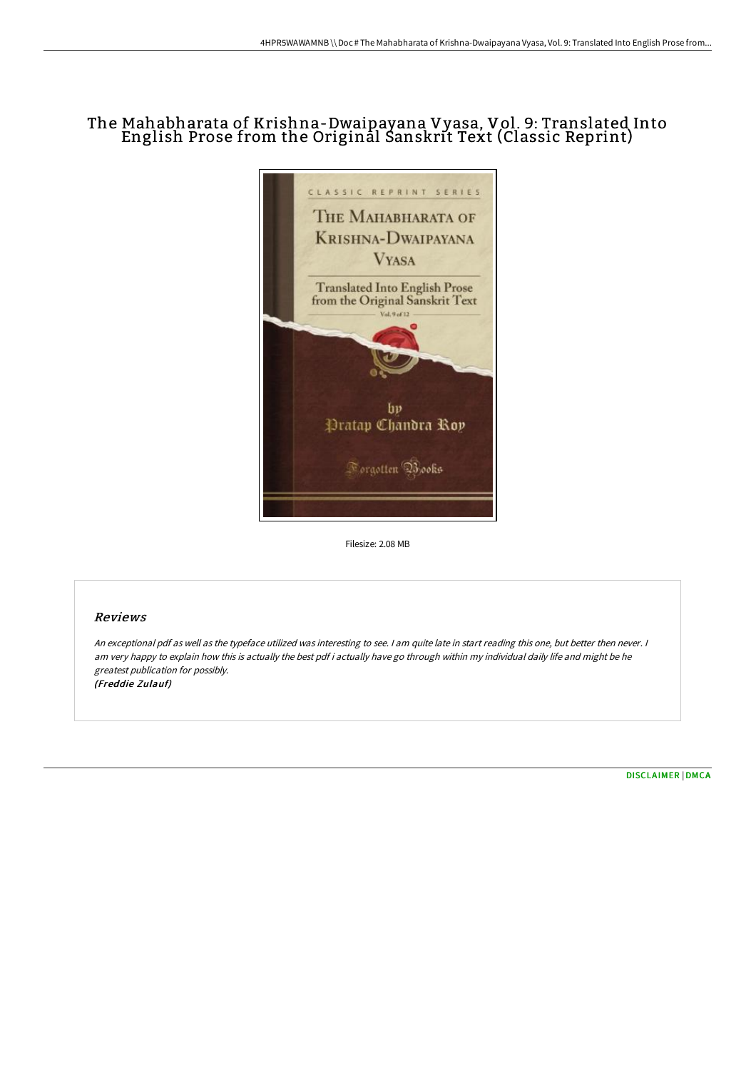## The Mahabharata of Krishna-Dwaipayana Vyasa, Vol. 9: Translated Into English Prose from the Original Sanskrit Text (Classic Reprint)



Filesize: 2.08 MB

## Reviews

An exceptional pdf as well as the typeface utilized was interesting to see. <sup>I</sup> am quite late in start reading this one, but better then never. <sup>I</sup> am very happy to explain how this is actually the best pdf i actually have go through within my individual daily life and might be he greatest publication for possibly. (Freddie Zulauf)

[DISCLAIMER](http://bookera.tech/disclaimer.html) | [DMCA](http://bookera.tech/dmca.html)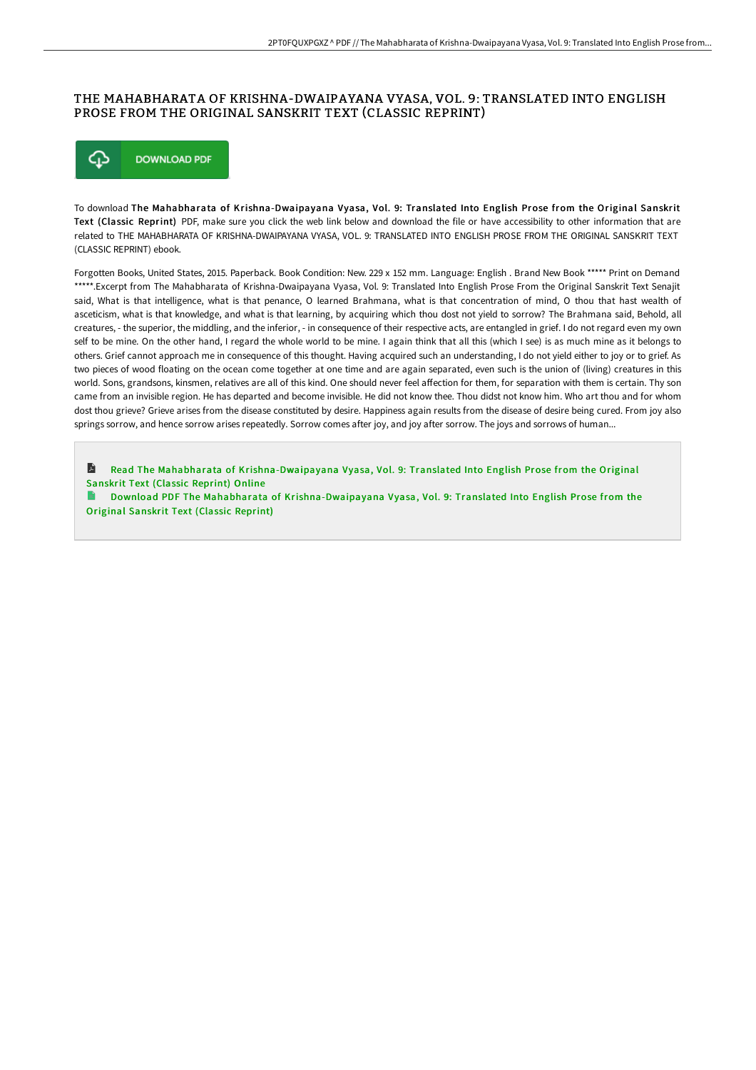## THE MAHABHARATA OF KRISHNA-DWAIPAYANA VYASA, VOL. 9: TRANSLATED INTO ENGLISH PROSE FROM THE ORIGINAL SANSKRIT TEXT (CLASSIC REPRINT)



To download The Mahabharata of Krishna-Dwaipayana Vyasa, Vol. 9: Translated Into English Prose from the Original Sanskrit Text (Classic Reprint) PDF, make sure you click the web link below and download the file or have accessibility to other information that are related to THE MAHABHARATA OF KRISHNA-DWAIPAYANA VYASA, VOL. 9: TRANSLATED INTO ENGLISH PROSE FROM THE ORIGINAL SANSKRIT TEXT (CLASSIC REPRINT) ebook.

Forgotten Books, United States, 2015. Paperback. Book Condition: New. 229 x 152 mm. Language: English . Brand New Book \*\*\*\*\* Print on Demand \*\*\*\*\*.Excerpt from The Mahabharata of Krishna-Dwaipayana Vyasa, Vol. 9: Translated Into English Prose From the Original Sanskrit Text Senajit said, What is that intelligence, what is that penance, O learned Brahmana, what is that concentration of mind, O thou that hast wealth of asceticism, what is that knowledge, and what is that learning, by acquiring which thou dost not yield to sorrow? The Brahmana said, Behold, all creatures, - the superior, the middling, and the inferior, - in consequence of their respective acts, are entangled in grief. I do not regard even my own self to be mine. On the other hand, I regard the whole world to be mine. I again think that all this (which I see) is as much mine as it belongs to others. Grief cannot approach me in consequence of this thought. Having acquired such an understanding, I do not yield either to joy or to grief. As two pieces of wood floating on the ocean come together at one time and are again separated, even such is the union of (living) creatures in this world. Sons, grandsons, kinsmen, relatives are all of this kind. One should never feel affection for them, for separation with them is certain. Thy son came from an invisible region. He has departed and become invisible. He did not know thee. Thou didst not know him. Who art thou and for whom dost thou grieve? Grieve arises from the disease constituted by desire. Happiness again results from the disease of desire being cured. From joy also springs sorrow, and hence sorrow arises repeatedly. Sorrow comes after joy, and joy after sorrow. The joys and sorrows of human...

L Read The Mahabharata of [Krishna-Dwaipayana](http://bookera.tech/the-mahabharata-of-krishna-dwaipayana-vyasa-vol-.html) Vyasa, Vol. 9: Translated Into English Prose from the Original Sanskrit Text (Classic Reprint) Online

Download PDF The Mahabharata of [Krishna-Dwaipayana](http://bookera.tech/the-mahabharata-of-krishna-dwaipayana-vyasa-vol-.html) Vyasa, Vol. 9: Translated Into English Prose from the Original Sanskrit Text (Classic Reprint)